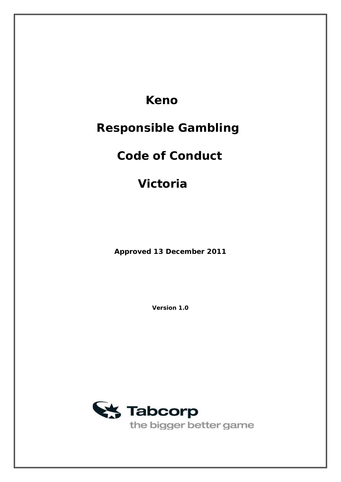# **Keno**

# **Responsible Gambling**

# **Code of Conduct**

# **Victoria**

**Approved 13 December 2011** 

**Version 1.0** 

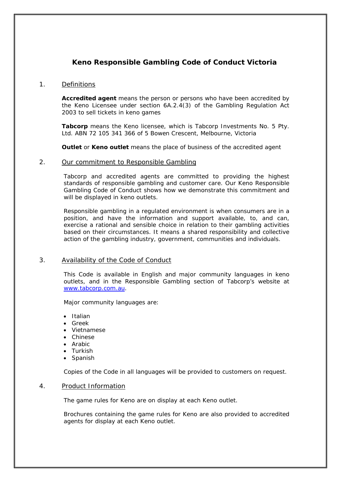# **Keno Responsible Gambling Code of Conduct Victoria**

# 1. Definitions

**Accredited agent** means the person or persons who have been accredited by the Keno Licensee under section 6A.2.4(3) of the *Gambling Regulation Act 2003* to sell tickets in keno games

**Tabcorp** means the Keno licensee, which is Tabcorp Investments No. 5 Pty. Ltd. ABN 72 105 341 366 of 5 Bowen Crescent, Melbourne, Victoria

**Outlet** or **Keno outlet** means the place of business of the accredited agent

#### 2. Our commitment to Responsible Gambling

Tabcorp and accredited agents are committed to providing the highest standards of responsible gambling and customer care. Our Keno Responsible Gambling Code of Conduct shows how we demonstrate this commitment and will be displayed in keno outlets.

Responsible gambling in a regulated environment is when consumers are in a position, and have the information and support available, to, and can, exercise a rational and sensible choice in relation to their gambling activities based on their circumstances. It means a shared responsibility and collective action of the gambling industry, government, communities and individuals.

# 3. Availability of the Code of Conduct

This Code is available in English and major community languages in keno outlets, and in the Responsible Gambling section of Tabcorp's website at [www.tabcorp.com.au](http://www.tabcorp.com.au/).

Major community languages are:

- Italian
- Greek
- Vietnamese
- Chinese
- Arabic
- Turkish
- **Spanish**

Copies of the Code in all languages will be provided to customers on request.

# 4. Product Information

The game rules for Keno are on display at each Keno outlet.

Brochures containing the game rules for Keno are also provided to accredited agents for display at each Keno outlet.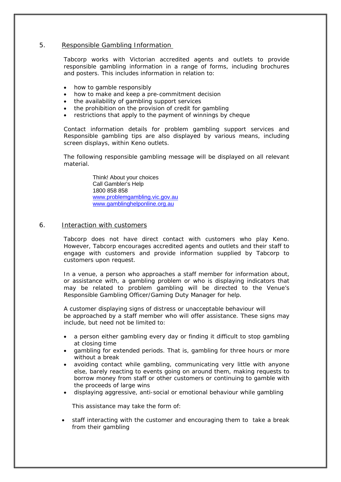# 5. Responsible Gambling Information

Tabcorp works with Victorian accredited agents and outlets to provide responsible gambling information in a range of forms, including brochures and posters. This includes information in relation to:

- how to gamble responsibly
- how to make and keep a pre-commitment decision
- the availability of gambling support services
- the prohibition on the provision of credit for gambling
- restrictions that apply to the payment of winnings by cheque

Contact information details for problem gambling support services and Responsible gambling tips are also displayed by various means, including screen displays, within Keno outlets.

The following responsible gambling message will be displayed on all relevant material.

> Think! About your choices Call Gambler's Help 1800 858 858 [www.problemgambling.vic.gov.au](http://www.problemgambling.vic.gov.au/) [www.gamblinghelponline.org.au](http://www.gamblinghelponline.org.au/)

#### 6. Interaction with customers

Tabcorp does not have direct contact with customers who play Keno. However, Tabcorp encourages accredited agents and outlets and their staff to engage with customers and provide information supplied by Tabcorp to customers upon request.

In a venue, a person who approaches a staff member for information about, or assistance with, a gambling problem or who is displaying indicators that may be related to problem gambling will be directed to the Venue's Responsible Gambling Officer/Gaming Duty Manager for help.

A customer displaying signs of distress or unacceptable behaviour will be approached by a staff member who will offer assistance. These signs may include, but need not be limited to:

- a person either gambling every day or finding it difficult to stop gambling at closing time
- gambling for extended periods. That is, gambling for three hours or more without a break
- avoiding contact while gambling, communicating very little with anyone else, barely reacting to events going on around them, making requests to borrow money from staff or other customers or continuing to gamble with the proceeds of large wins
- displaying aggressive, anti-social or emotional behaviour while gambling

This assistance may take the form of:

• staff interacting with the customer and encouraging them to take a break from their gambling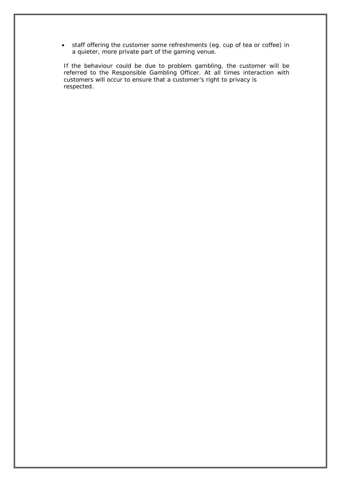• staff offering the customer some refreshments (eg. cup of tea or coffee) in a quieter, more private part of the gaming venue.

If the behaviour could be due to problem gambling, the customer will be referred to the Responsible Gambling Officer. At all times interaction with customers will occur to ensure that a customer's right to privacy is respected.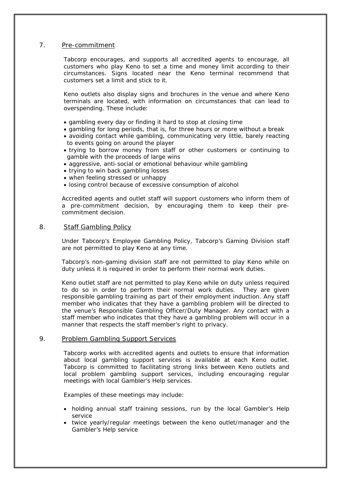# 7. Pre-commitment

Tabcorp encourages, and supports all accredited agents to encourage, all customers who play Keno to set a time and money limit according to their circumstances. Signs located near the Keno terminal recommend that customers set a limit and stick to it.

Keno outlets also display signs and brochures in the venue and where Keno terminals are located, with information on circumstances that can lead to overspending. These include:

- gambling every day or finding it hard to stop at closing time
- gambling for long periods, that is, for three hours or more without a break
- avoiding contact while gambling, communicating very little, barely reacting to events going on around the player
- trying to borrow money from staff or other customers or continuing to gamble with the proceeds of large wins
- aggressive, anti-social or emotional behaviour while gambling
- trying to win back gambling losses
- when feeling stressed or unhappy
- losing control because of excessive consumption of alcohol

Accredited agents and outlet staff will support customers who inform them of a pre-commitment decision, by encouraging them to keep their precommitment decision.

#### 8. Staff Gambling Policy

Under Tabcorp's Employee Gambling Policy, Tabcorp's Gaming Division staff are not permitted to play Keno at any time.

Tabcorp's non-gaming division staff are not permitted to play Keno while on duty unless it is required in order to perform their normal work duties.

Keno outlet staff are not permitted to play Keno while on duty unless required to do so in order to perform their normal work duties. They are given responsible gambling training as part of their employment induction. Any staff member who indicates that they have a gambling problem will be directed to the venue's Responsible Gambling Officer/Duty Manager. Any contact with a staff member who indicates that they have a gambling problem will occur in a manner that respects the staff member's right to privacy.

#### 9. Problem Gambling Support Services

Tabcorp works with accredited agents and outlets to ensure that information about local gambling support services is available at each Keno outlet. Tabcorp is committed to facilitating strong links between Keno outlets and local problem gambling support services, including encouraging regular meetings with local Gambler's Help services.

Examples of these meetings may include:

- holding annual staff training sessions, run by the local Gambler's Help service
- twice yearly/regular meetings between the keno outlet/manager and the Gambler's Help service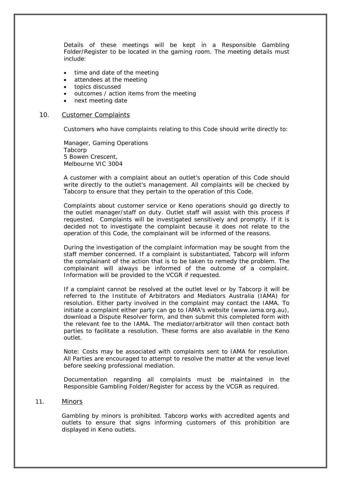Details of these meetings will be kept in a Responsible Gambling Folder/Register to be located in the gaming room. The meeting details must include:

- time and date of the meeting
- attendees at the meeting
- topics discussed
- outcomes / action items from the meeting
- next meeting date

#### 10. Customer Complaints

Customers who have complaints relating to this Code should write directly to:

Manager, Gaming Operations Tabcorp 5 Bowen Crescent, Melbourne VIC 3004

A customer with a complaint about an outlet's operation of this Code should write directly to the outlet's management. All complaints will be checked by Tabcorp to ensure that they pertain to the operation of this Code.

Complaints about customer service or Keno operations should go directly to the outlet manager/staff on duty. Outlet staff will assist with this process if requested. Complaints will be investigated sensitively and promptly. If it is decided not to investigate the complaint because it does not relate to the operation of this Code, the complainant will be informed of the reasons.

During the investigation of the complaint information may be sought from the staff member concerned. If a complaint is substantiated, Tabcorp will inform the complainant of the action that is to be taken to remedy the problem. The complainant will always be informed of the outcome of a complaint. Information will be provided to the VCGR if requested.

If a complaint cannot be resolved at the outlet level or by Tabcorp it will be referred to the Institute of Arbitrators and Mediators Australia (IAMA) for resolution. Either party involved in the complaint may contact the IAMA. To initiate a complaint either party can go to IAMA's website (www.iama.org.au), download a Dispute Resolver form, and then submit this completed form with the relevant fee to the IAMA. The mediator/arbitrator will then contact both parties to facilitate a resolution. These forms are also available in the Keno outlet.

 Note: Costs may be associated with complaints sent to IAMA for resolution. All Parties are encouraged to attempt to resolve the matter at the venue level before seeking professional mediation.

Documentation regarding all complaints must be maintained in the Responsible Gambling Folder/Register for access by the VCGR as required.

#### 11. Minors

Gambling by minors is prohibited. Tabcorp works with accredited agents and outlets to ensure that signs informing customers of this prohibition are displayed in Keno outlets.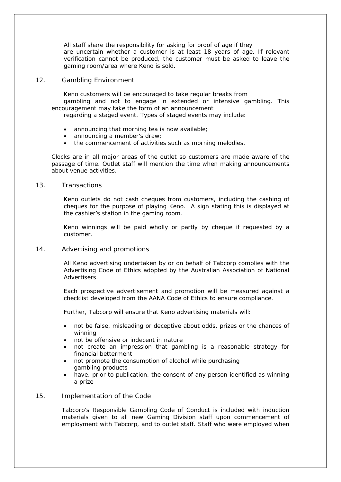All staff share the responsibility for asking for proof of age if they are uncertain whether a customer is at least 18 years of age. If relevant verification cannot be produced, the customer must be asked to leave the gaming room/area where Keno is sold.

### 12. Gambling Environment

Keno customers will be encouraged to take regular breaks from gambling and not to engage in extended or intensive gambling. This encouragement may take the form of an announcement

regarding a staged event. Types of staged events may include:

- announcing that morning tea is now available;
- announcing a member's draw;
- the commencement of activities such as morning melodies.

Clocks are in all major areas of the outlet so customers are made aware of the passage of time. Outlet staff will mention the time when making announcements about venue activities.

#### 13. Transactions

Keno outlets do not cash cheques from customers, including the cashing of cheques for the purpose of playing Keno. A sign stating this is displayed at the cashier's station in the gaming room.

Keno winnings will be paid wholly or partly by cheque if requested by a customer.

# 14. Advertising and promotions

All Keno advertising undertaken by or on behalf of Tabcorp complies with the Advertising Code of Ethics adopted by the Australian Association of National Advertisers.

Each prospective advertisement and promotion will be measured against a checklist developed from the AANA Code of Ethics to ensure compliance.

Further, Tabcorp will ensure that Keno advertising materials will:

- not be false, misleading or deceptive about odds, prizes or the chances of winning
- not be offensive or indecent in nature
- not create an impression that gambling is a reasonable strategy for financial betterment
- not promote the consumption of alcohol while purchasing gambling products
- have, prior to publication, the consent of any person identified as winning a prize

# 15. Implementation of the Code

Tabcorp's Responsible Gambling Code of Conduct is included with induction materials given to all new Gaming Division staff upon commencement of employment with Tabcorp, and to outlet staff. Staff who were employed when